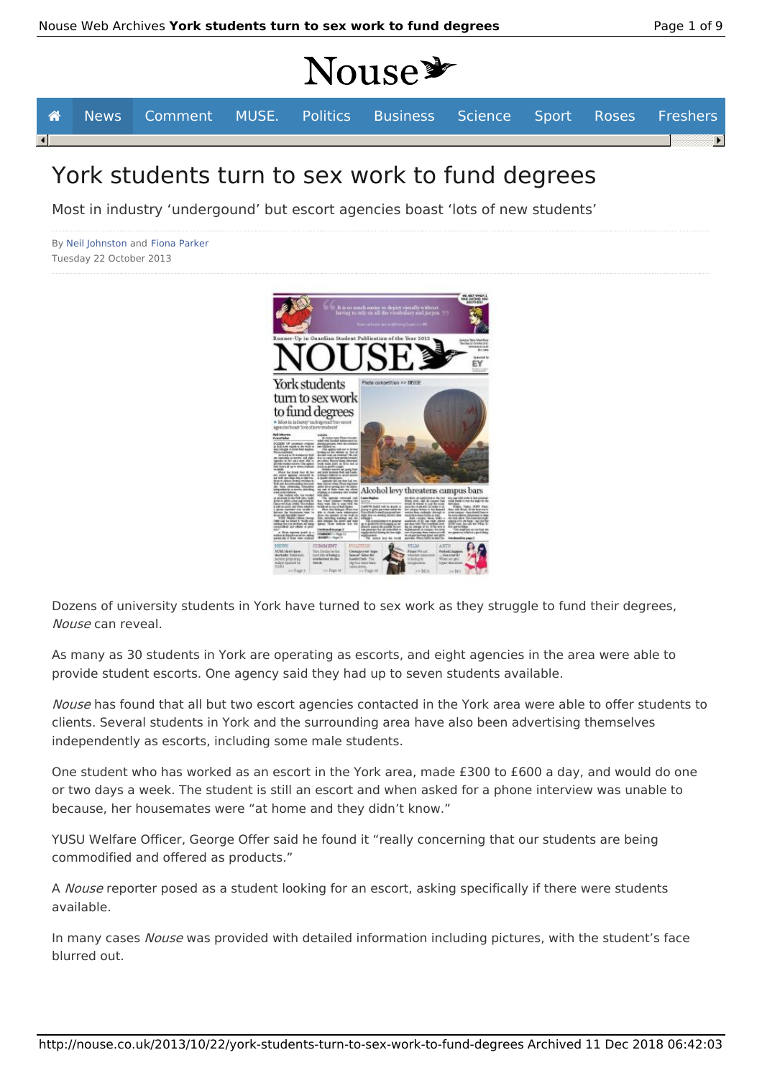# **Nouse\***



## York students turn to sex work to fund degrees

Most in industry 'undergound' but escort agencies boast 'lots of new students'

By Neil Johnston and Fiona Parker Tuesday 22 October 2013



Dozens of university students in York have turned to sex work as they struggle to fund their degrees, Nouse can reveal.

As many as 30 students in York are operating as escorts, and eight agencies in the area were able to provide student escorts. One agency said they had up to seven students available.

Nouse has found that all but two escort agencies contacted in the York area were able to offer students to clients. Several students in York and the surrounding area have also been advertising themselves independently as escorts, including some male students.

One student who has worked as an escort in the York area, made £300 to £600 a day, and would do one or two days a week. The student is still an escort and when asked for a phone interview was unable to because, her housemates were "at home and they didn't know."

YUSU Welfare Officer, George Offer said he found it "really concerning that our students are being commodified and offered as products."

A Nouse reporter posed as a student looking for an escort, asking specifically if there were students available.

In many cases Nouse was provided with detailed information including pictures, with the student's face blurred out.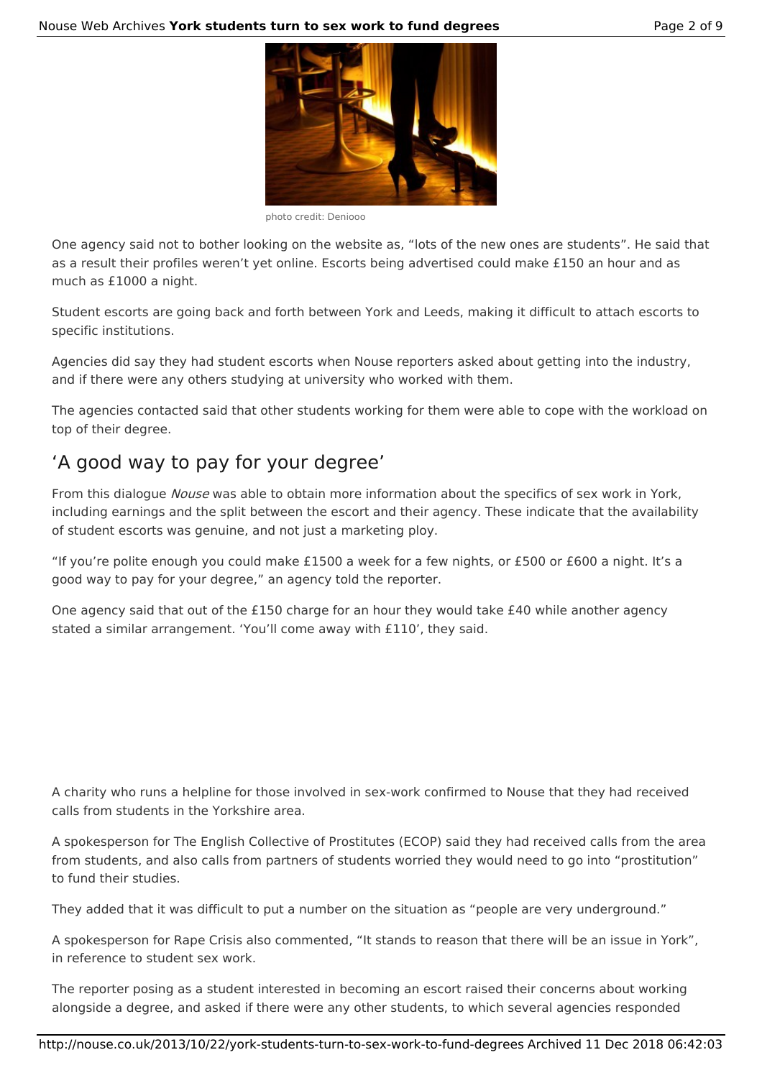

photo credit: Deniooo

One agency said not to bother looking on the website as, "lots of the new ones are students". He said that as a result their profiles weren't yet online. Escorts being advertised could make £150 an hour and as much as £1000 a night.

Student escorts are going back and forth between York and Leeds, making it difficult to attach escorts to specific institutions.

Agencies did say they had student escorts when Nouse reporters asked about getting into the industry, and if there were any others studying at university who worked with them.

The agencies contacted said that other students working for them were able to cope with the workload on top of their degree.

### 'A good way to pay for your degree'

From this dialogue Nouse was able to obtain more information about the specifics of sex work in York, including earnings and the split between the escort and their agency. These indicate that the availability of student escorts was genuine, and not just a marketing ploy.

"If you're polite enough you could make £1500 a week for a few nights, or £500 or £600 a night. It's a good way to pay for your degree," an agency told the reporter.

One agency said that out of the £150 charge for an hour they would take £40 while another agency stated a similar arrangement. 'You'll come away with £110', they said.

A charity who runs a helpline for those involved in sex-work confirmed to Nouse that they had received calls from students in the Yorkshire area.

A spokesperson for The English Collective of Prostitutes (ECOP) said they had received calls from the area from students, and also calls from partners of students worried they would need to go into "prostitution" to fund their studies.

They added that it was difficult to put a number on the situation as "people are very underground."

A spokesperson for Rape Crisis also commented, "It stands to reason that there will be an issue in York", in reference to student sex work.

The reporter posing as a student interested in becoming an escort raised their concerns about working alongside a degree, and asked if there were any other students, to which several agencies responded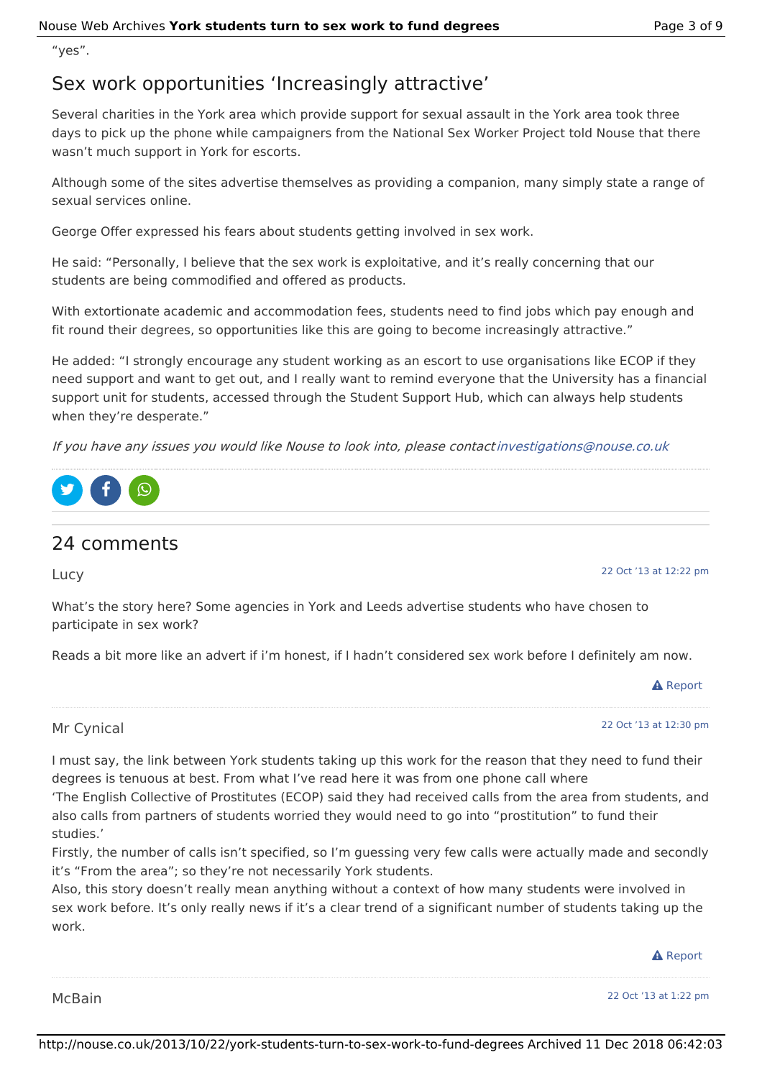"yes".

### Sex work opportunities 'Increasingly attractive'

Several charities in the York area which provide support for sexual assault in the York area took three days to pick up the phone while campaigners from the National Sex Worker Project told Nouse that there wasn't much support in York for escorts.

Although some of the sites advertise themselves as providing a companion, many simply state a range of sexual services online.

George Offer expressed his fears about students getting involved in sex work.

He said: "Personally, I believe that the sex work is exploitative, and it's really concerning that our students are being commodified and offered as products.

With extortionate academic and accommodation fees, students need to find jobs which pay enough and fit round their degrees, so opportunities like this are going to become increasingly attractive."

He added: "I strongly encourage any student working as an escort to use organisations like ECOP if they need support and want to get out, and I really want to remind everyone that the University has a financial support unit for students, accessed through the Student Support Hub, which can always help students when they're desperate."

If you have any issues you would like Nouse to look into, please contactinvestigations@nouse.co.uk



### 24 comments

Lucy

22 Oct '13 at 12:22 pm

What's the story here? Some agencies in York and Leeds advertise students who have chosen to participate in sex work?

Reads a bit more like an advert if i'm honest, if I hadn't considered sex work before I definitely am now.



Mr Cynical

#### 22 Oct '13 at 12:30 pm

I must say, the link between York students taking up this work for the reason that they need to fund their degrees is tenuous at best. From what I've read here it was from one phone call where

'The English Collective of Prostitutes (ECOP) said they had received calls from the area from students, and also calls from partners of students worried they would need to go into "prostitution" to fund their studies.'

Firstly, the number of calls isn't specified, so I'm guessing very few calls were actually made and secondly it's "From the area"; so they're not necessarily York students.

Also, this story doesn't really mean anything without a context of how many students were involved in sex work before. It's only really news if it's a clear trend of a significant number of students taking up the work.

**A** Report

McBain

22 Oct '13 at 1:22 pm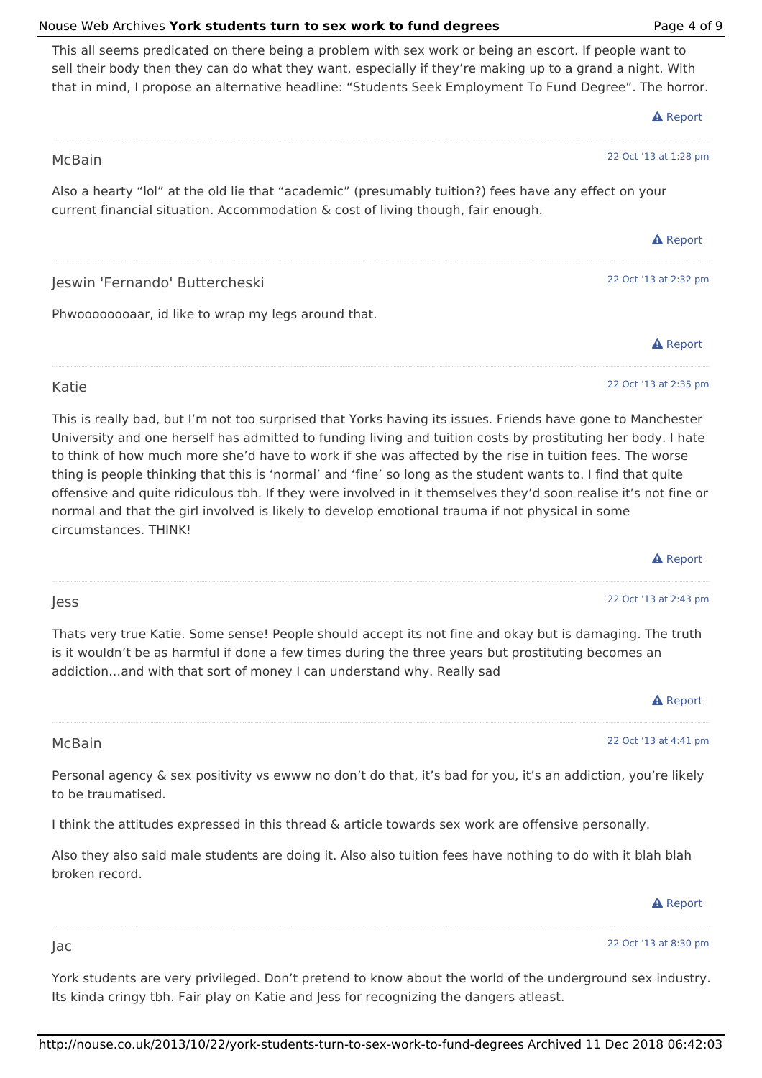#### http://nouse.co.uk/2013/10/22/york-students-turn-to-sex-work-to-fund-degrees Archived 11 Dec 2018 06:42:03

#### Nouse Web Archives **York students turn to sex work to fund degrees** Page 4 of 9

This all seems predicated on there being a problem with sex work or being an escort. If people want to sell their body then they can do what they want, especially if they're making up to a grand a night. With that in mind, I propose an alternative headline: "Students Seek Employment To Fund Degree". The horror.

| McBain                                                                                                                                                                                    | 22 Oct '13 at 1:28 pm |  |  |
|-------------------------------------------------------------------------------------------------------------------------------------------------------------------------------------------|-----------------------|--|--|
| Also a hearty "lol" at the old lie that "academic" (presumably tuition?) fees have any effect on your<br>current financial situation. Accommodation & cost of living though, fair enough. |                       |  |  |
|                                                                                                                                                                                           | <b>A</b> Report       |  |  |
| Jeswin 'Fernando' Buttercheski                                                                                                                                                            | 22 Oct '13 at 2:32 pm |  |  |
| Phwoooooooaar, id like to wrap my legs around that.                                                                                                                                       |                       |  |  |
|                                                                                                                                                                                           | <b>A</b> Report       |  |  |
| Katie                                                                                                                                                                                     | 22 Oct '13 at 2:35 pm |  |  |

This is really bad, but I'm not too surprised that Yorks having its issues. Friends have gone to Manchester University and one herself has admitted to funding living and tuition costs by prostituting her body. I hate to think of how much more she'd have to work if she was affected by the rise in tuition fees. The worse thing is people thinking that this is 'normal' and 'fine' so long as the student wants to. I find that quite offensive and quite ridiculous tbh. If they were involved in it themselves they'd soon realise it's not fine or normal and that the girl involved is likely to develop emotional trauma if not physical in some circumstances. THINK!

|                                                                                                                                                                                                                                                                                          | <b>A</b> Report       |
|------------------------------------------------------------------------------------------------------------------------------------------------------------------------------------------------------------------------------------------------------------------------------------------|-----------------------|
| Jess                                                                                                                                                                                                                                                                                     | 22 Oct '13 at 2:43 pm |
| Thats very true Katie. Some sense! People should accept its not fine and okay but is damaging. The truth<br>is it wouldn't be as harmful if done a few times during the three years but prostituting becomes an<br>addictionand with that sort of money I can understand why. Really sad |                       |
|                                                                                                                                                                                                                                                                                          | <b>A</b> Report       |
| McBain                                                                                                                                                                                                                                                                                   | 22 Oct '13 at 4:41 pm |

Personal agency & sex positivity vs ewww no don't do that, it's bad for you, it's an addiction, you're likely to be traumatised.

I think the attitudes expressed in this thread & article towards sex work are offensive personally.

Jac

Also they also said male students are doing it. Also also tuition fees have nothing to do with it blah blah broken record.

22 Oct '13 at 8:30 pm

**A** Report

York students are very privileged. Don't pretend to know about the world of the underground sex industry. Its kinda cringy tbh. Fair play on Katie and Jess for recognizing the dangers atleast.

#### 22 Oct '13 at 2:35 pm

**A** Report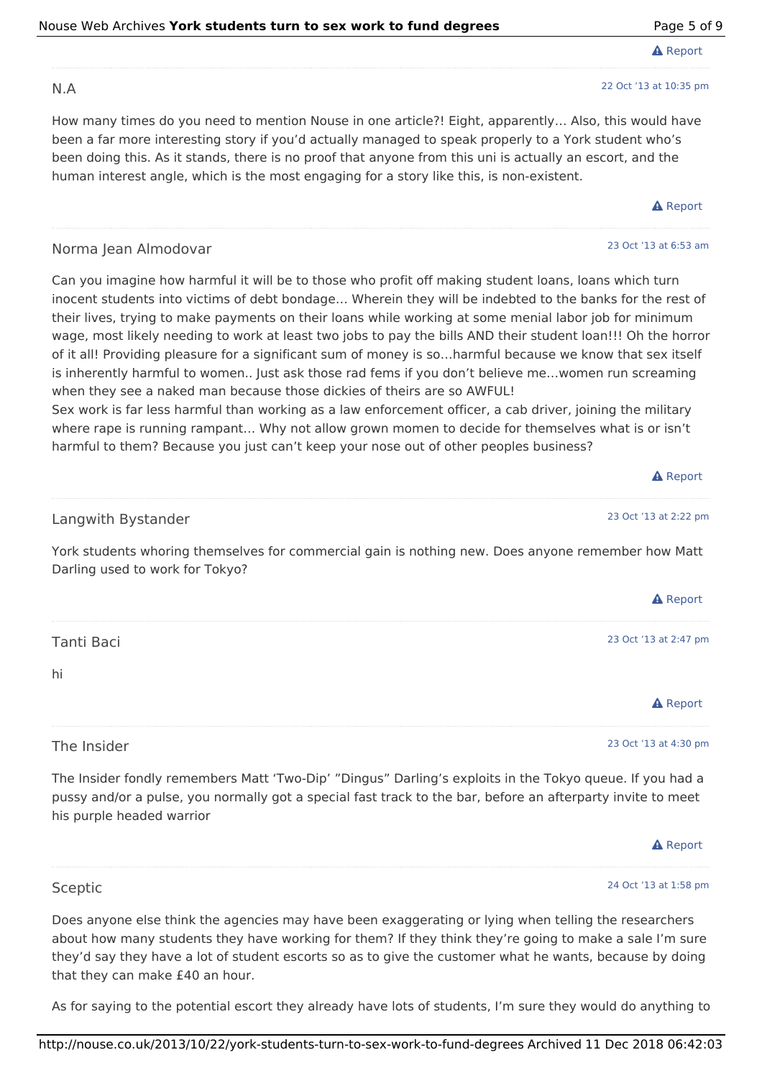| Nouse Web Archives York students turn to sex work to fund degrees | Page 5 of 9 |
|-------------------------------------------------------------------|-------------|
|-------------------------------------------------------------------|-------------|

#### N.A

How many times do you need to mention Nouse in one article?! Eight, apparently… Also, this would have been a far more interesting story if you'd actually managed to speak properly to a York student who's been doing this. As it stands, there is no proof that anyone from this uni is actually an escort, and the human interest angle, which is the most engaging for a story like this, is non-existent.

#### Norma Jean Almodovar

Can you imagine how harmful it will be to those who profit off making student loans, loans which turn inocent students into victims of debt bondage… Wherein they will be indebted to the banks for the rest of their lives, trying to make payments on their loans while working at some menial labor job for minimum wage, most likely needing to work at least two jobs to pay the bills AND their student loan!!! Oh the horror of it all! Providing pleasure for a significant sum of money is so…harmful because we know that sex itself is inherently harmful to women.. Just ask those rad fems if you don't believe me…women run screaming when they see a naked man because those dickies of theirs are so AWFUL!

Sex work is far less harmful than working as a law enforcement officer, a cab driver, joining the military where rape is running rampant… Why not allow grown momen to decide for themselves what is or isn't harmful to them? Because you just can't keep your nose out of other peoples business?

|                                                                                                                                       | $\mathbf{A}$ Report   |
|---------------------------------------------------------------------------------------------------------------------------------------|-----------------------|
| Langwith Bystander                                                                                                                    | 23 Oct '13 at 2:22 pm |
| York students whoring themselves for commercial gain is nothing new. Does anyone remember how Matt<br>Darling used to work for Tokyo? |                       |
|                                                                                                                                       | <b>A</b> Report       |
| Tanti Baci                                                                                                                            | 23 Oct '13 at 2:47 pm |
| hi                                                                                                                                    |                       |
|                                                                                                                                       | <b>A</b> Report       |
| The Insider                                                                                                                           | 23 Oct '13 at 4:30 pm |

The Insider fondly remembers Matt 'Two-Dip' "Dingus" Darling's exploits in the Tokyo queue. If you had a pussy and/or a pulse, you normally got a special fast track to the bar, before an afterparty invite to meet his purple headed warrior



Does anyone else think the agencies may have been exaggerating or lying when telling the researchers about how many students they have working for them? If they think they're going to make a sale I'm sure they'd say they have a lot of student escorts so as to give the customer what he wants, because by doing that they can make £40 an hour.

As for saying to the potential escort they already have lots of students, I'm sure they would do anything to

**A** Report

22 Oct '13 at 10:35 pm

#### **A** Report

 $\mathbf{A}$  and  $\mathbf{B}$  and  $\mathbf{B}$ 

#### 23 Oct '13 at 6:53 am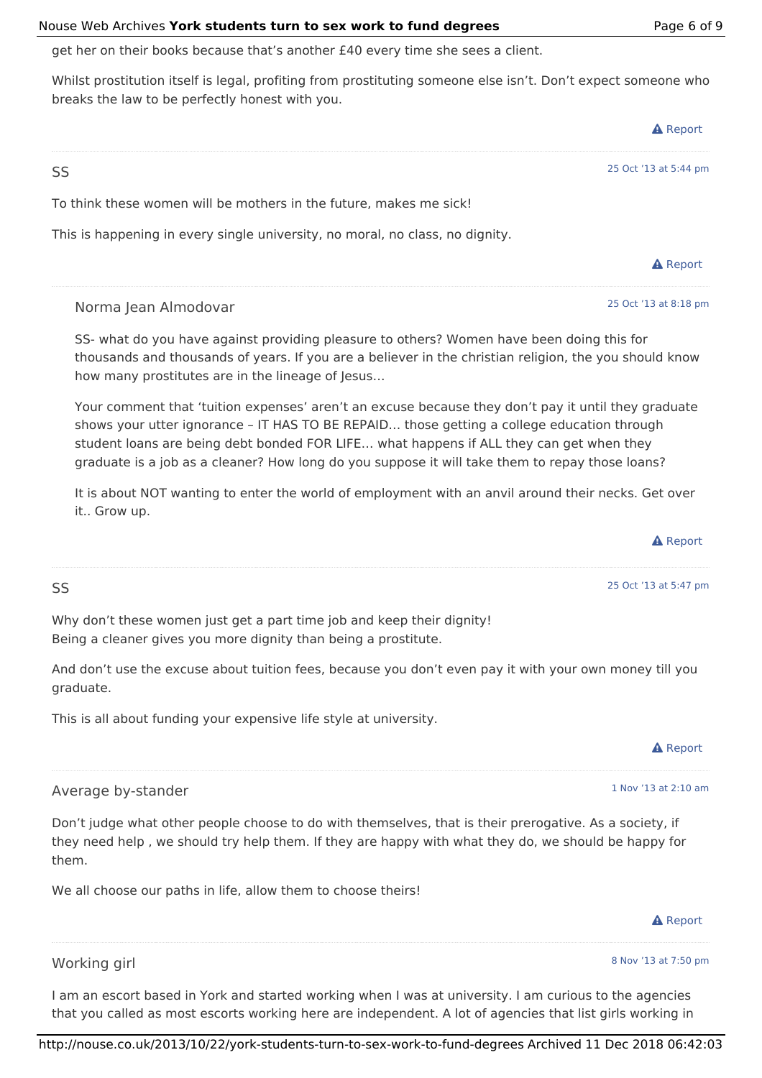#### Nouse Web Archives **York students turn to sex work to fund degrees** Page 6 of 9

get her on their books because that's another £40 every time she sees a client.

Whilst prostitution itself is legal, profiting from prostituting someone else isn't. Don't expect someone who breaks the law to be perfectly honest with you.

|                                                                               | <b>A</b> Report       |
|-------------------------------------------------------------------------------|-----------------------|
| SS                                                                            | 25 Oct '13 at 5:44 pm |
| To think these women will be mothers in the future, makes me sick!            |                       |
| This is happening in every single university, no moral, no class, no dignity. |                       |
|                                                                               | <b>A</b> Report       |
|                                                                               |                       |

Norma Jean Almodovar

SS- what do you have against providing pleasure to others? Women have been doing this for thousands and thousands of years. If you are a believer in the christian religion, the you should know how many prostitutes are in the lineage of Jesus…

Your comment that 'tuition expenses' aren't an excuse because they don't pay it until they graduate shows your utter ignorance – IT HAS TO BE REPAID… those getting a college education through student loans are being debt bonded FOR LIFE… what happens if ALL they can get when they graduate is a job as a cleaner? How long do you suppose it will take them to repay those loans?

It is about NOT wanting to enter the world of employment with an anvil around their necks. Get over it.. Grow up.

$$
\blacktriangle
$$
 Report  
\n $25$  Oct '13 at 5:47 pm

Why don't these women just get a part time job and keep their dignity! Being a cleaner gives you more dignity than being a prostitute.

And don't use the excuse about tuition fees, because you don't even pay it with your own money till you graduate.

This is all about funding your expensive life style at university.

1 Nov '13 at 2:10 am

#### Average by-stander

SS

Don't judge what other people choose to do with themselves, that is their prerogative. As a society, if they need help , we should try help them. If they are happy with what they do, we should be happy for them.

We all choose our paths in life, allow them to choose theirs!

8 Nov '13 at 7:50 pm

**A** Report

#### Working girl

I am an escort based in York and started working when I was at university. I am curious to the agencies that you called as most escorts working here are independent. A lot of agencies that list girls working in

http://nouse.co.uk/2013/10/22/york-students-turn-to-sex-work-to-fund-degrees Archived 11 Dec 2018 06:42:03

25 Oct '13 at 8:18 pm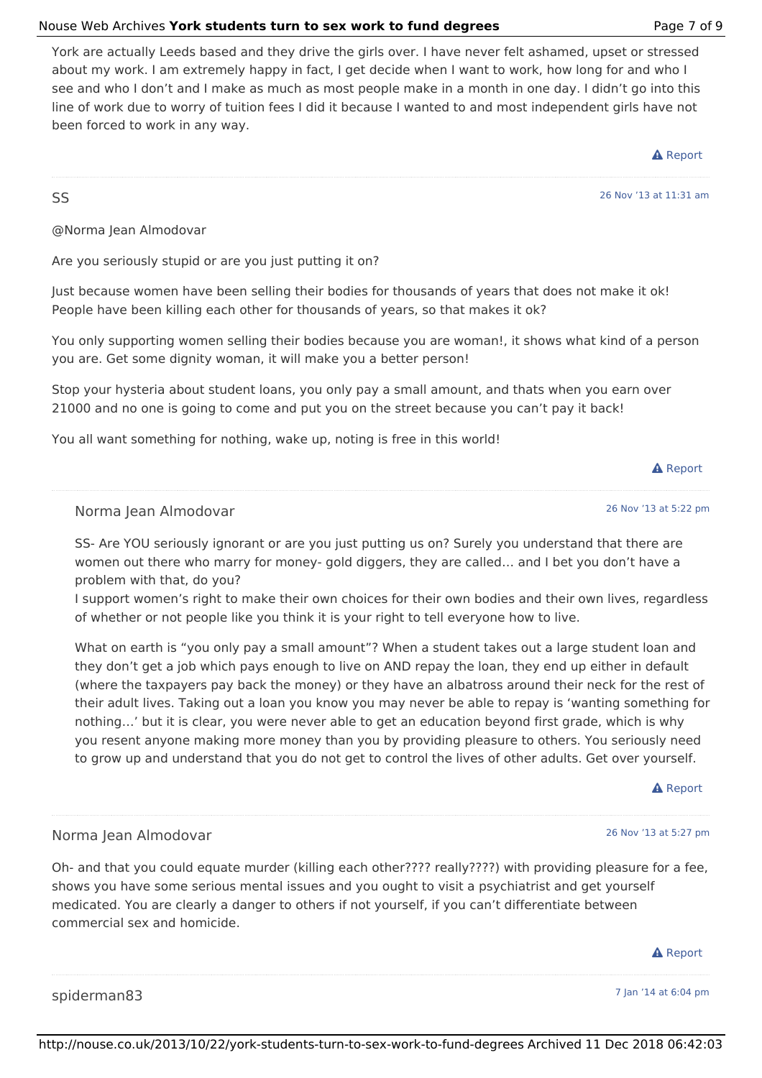#### Nouse Web Archives **York students turn to sex work to fund degrees** Page 7 of 9

York are actually Leeds based and they drive the girls over. I have never felt ashamed, upset or stressed about my work. I am extremely happy in fact, I get decide when I want to work, how long for and who I see and who I don't and I make as much as most people make in a month in one day. I didn't go into this line of work due to worry of tuition fees I did it because I wanted to and most independent girls have not been forced to work in any way.

**A** Report

26 Nov '13 at 11:31 am

@Norma Jean Almodovar

SS

Are you seriously stupid or are you just putting it on?

Just because women have been selling their bodies for thousands of years that does not make it ok! People have been killing each other for thousands of years, so that makes it ok?

You only supporting women selling their bodies because you are woman!, it shows what kind of a person you are. Get some dignity woman, it will make you a better person!

Stop your hysteria about student loans, you only pay a small amount, and thats when you earn over 21000 and no one is going to come and put you on the street because you can't pay it back!

You all want something for nothing, wake up, noting is free in this world!

#### **A** Report

26 Nov '13 at 5:22 pm

#### Norma Jean Almodovar

SS- Are YOU seriously ignorant or are you just putting us on? Surely you understand that there are women out there who marry for money- gold diggers, they are called… and I bet you don't have a problem with that, do you?

I support women's right to make their own choices for their own bodies and their own lives, regardless of whether or not people like you think it is your right to tell everyone how to live.

What on earth is "you only pay a small amount"? When a student takes out a large student loan and they don't get a job which pays enough to live on AND repay the loan, they end up either in default (where the taxpayers pay back the money) or they have an albatross around their neck for the rest of their adult lives. Taking out a loan you know you may never be able to repay is 'wanting something for nothing…' but it is clear, you were never able to get an education beyond first grade, which is why you resent anyone making more money than you by providing pleasure to others. You seriously need to grow up and understand that you do not get to control the lives of other adults. Get over yourself.

**A** Report

26 Nov '13 at 5:27 pm

#### Norma Jean Almodovar

Oh- and that you could equate murder (killing each other???? really????) with providing pleasure for a fee, shows you have some serious mental issues and you ought to visit a psychiatrist and get yourself medicated. You are clearly a danger to others if not yourself, if you can't differentiate between commercial sex and homicide.

|             | <b>EXITED AT 11</b>  |
|-------------|----------------------|
|             |                      |
| spiderman83 | 7 Jan '14 at 6:04 pm |

### A Donort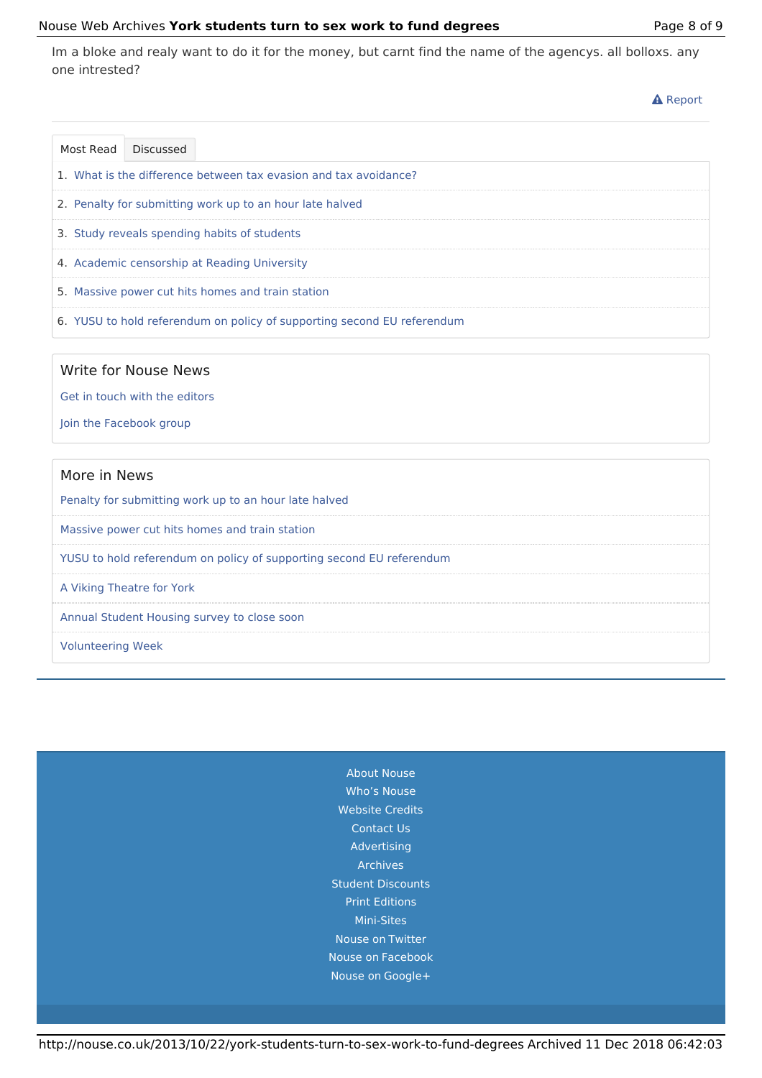#### Nouse Web Archives **York students turn to sex work to fund degrees** Page 8 of 9

Im a bloke and realy want to do it for the money, but carnt find the name of the agencys. all bolloxs. any one intrested?

**A** Report

|                                                                  | Most Read Discussed |                                                                         |
|------------------------------------------------------------------|---------------------|-------------------------------------------------------------------------|
| 1. What is the difference between tax evasion and tax avoidance? |                     |                                                                         |
| 2. Penalty for submitting work up to an hour late halved         |                     |                                                                         |
| 3. Study reveals spending habits of students                     |                     |                                                                         |
|                                                                  |                     | 4. Academic censorship at Reading University                            |
|                                                                  |                     | 5. Massive power cut hits homes and train station                       |
|                                                                  |                     | 6. YUSU to hold referendum on policy of supporting second EU referendum |

#### Write for Nouse News

Get in touch with the editors

Join the Facebook group

#### More in News

Penalty for submitting work up to an hour late halved

Massive power cut hits homes and train station

YUSU to hold referendum on policy of supporting second EU referendum

A Viking Theatre for York

Annual Student Housing survey to close soon

Volunteering Week

About Nouse Who's Nouse Website Credits Contact Us Advertising Archives Student Discounts Print Editions Mini-Sites Nouse on Twitter Nouse on Facebook Nouse on Google+